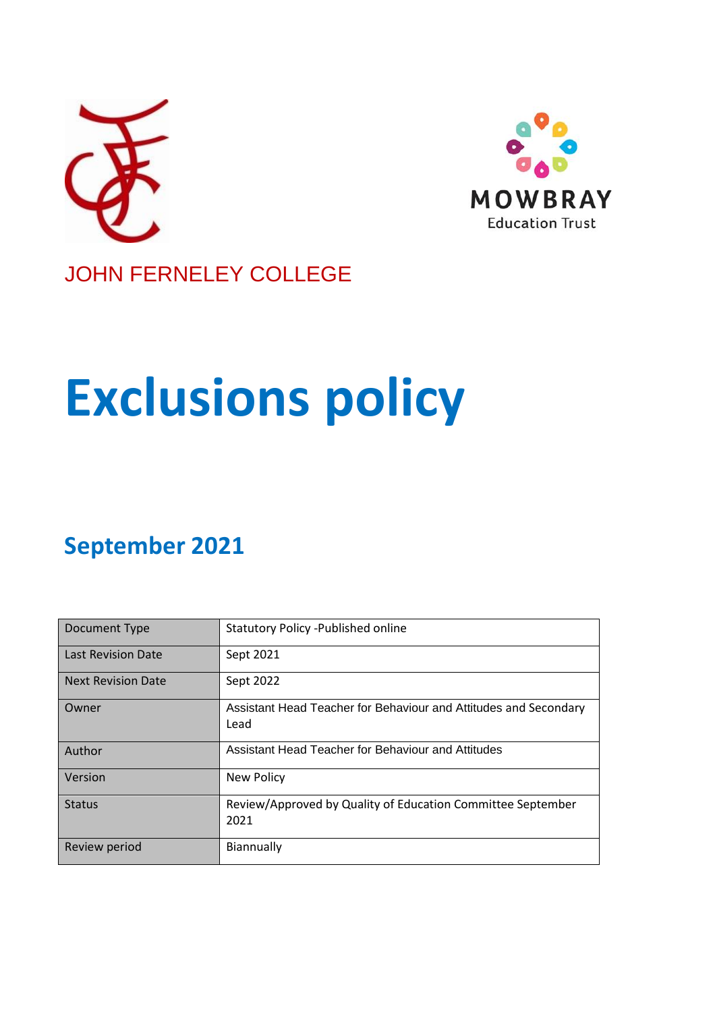



## JOHN FERNELEY COLLEGE

# **Exclusions policy**

# **September 2021**

| Document Type             | <b>Statutory Policy - Published online</b>                               |
|---------------------------|--------------------------------------------------------------------------|
| <b>Last Revision Date</b> | Sept 2021                                                                |
| <b>Next Revision Date</b> | Sept 2022                                                                |
| Owner                     | Assistant Head Teacher for Behaviour and Attitudes and Secondary<br>Lead |
| Author                    | Assistant Head Teacher for Behaviour and Attitudes                       |
| Version                   | <b>New Policy</b>                                                        |
| <b>Status</b>             | Review/Approved by Quality of Education Committee September<br>2021      |
| Review period             | Biannually                                                               |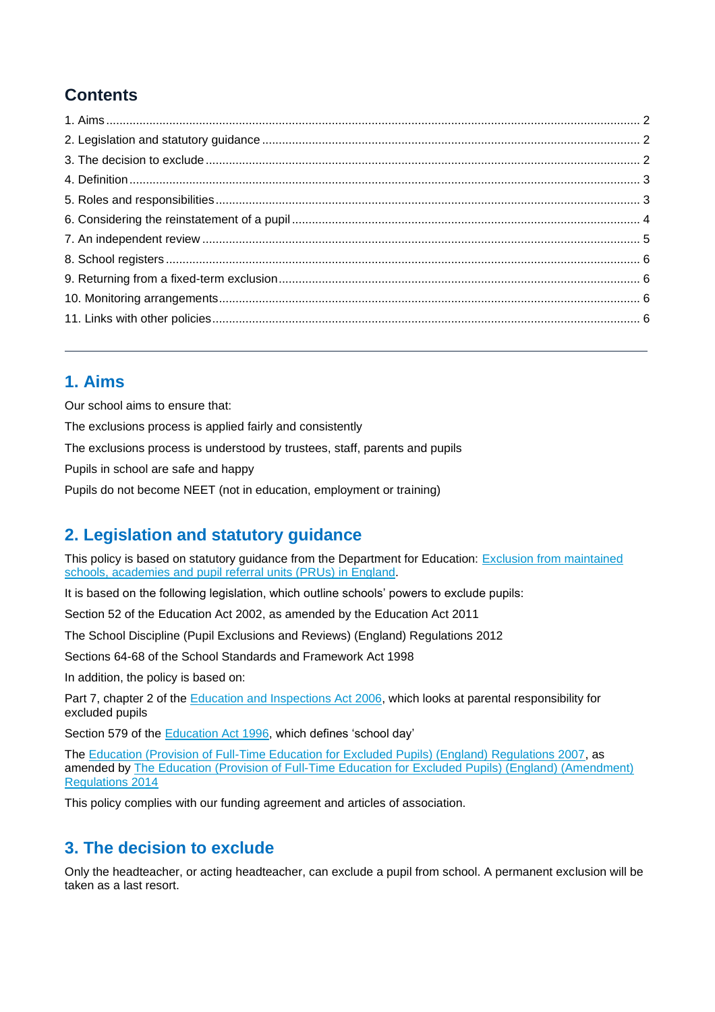## **Contents**

## **1. Aims**

Our school aims to ensure that:

The exclusions process is applied fairly and consistently

The exclusions process is understood by trustees, staff, parents and pupils

Pupils in school are safe and happy

Pupils do not become NEET (not in education, employment or training)

## **2. Legislation and statutory guidance**

This policy is based on statutory guidance from the Department for Education: [Exclusion from maintained](https://www.gov.uk/government/publications/school-exclusion)  [schools, academies and pupil referral units \(PRUs\) in England.](https://www.gov.uk/government/publications/school-exclusion)

It is based on the following legislation, which outline schools' powers to exclude pupils:

Section 52 of the [Education Act 2002,](http://www.legislation.gov.uk/ukpga/2002/32/section/52) as amended by the [Education Act 2011](http://www.legislation.gov.uk/ukpga/2011/21/contents/enacted)

[The School Discipline \(Pupil Exclusions and Reviews\) \(England\) Regulations 2012](http://www.legislation.gov.uk/uksi/2012/1033/made)

Sections 64-68 of the [School Standards and Framework Act 1998](http://www.legislation.gov.uk/ukpga/1998/31)

In addition, the policy is based on:

Part 7, chapter 2 of the [Education and Inspections Act 2006,](http://www.legislation.gov.uk/ukpga/2006/40/part/7/chapter/2) which looks at parental responsibility for excluded pupils

Section 579 of the **Education Act 1996**, which defines 'school day'

The [Education \(Provision of Full-Time Education for Excluded Pupils\) \(England\) Regulations 2007,](http://www.legislation.gov.uk/uksi/2007/1870/contents/made) as amended by [The Education \(Provision of Full-Time Education for](http://www.legislation.gov.uk/uksi/2014/3216/contents/made) Excluded Pupils) (England) (Amendment) [Regulations 2014](http://www.legislation.gov.uk/uksi/2014/3216/contents/made)

This policy complies with our funding agreement and articles of association.

## **3. The decision to exclude**

Only the headteacher, or acting headteacher, can exclude a pupil from school. A permanent exclusion will be taken as a last resort.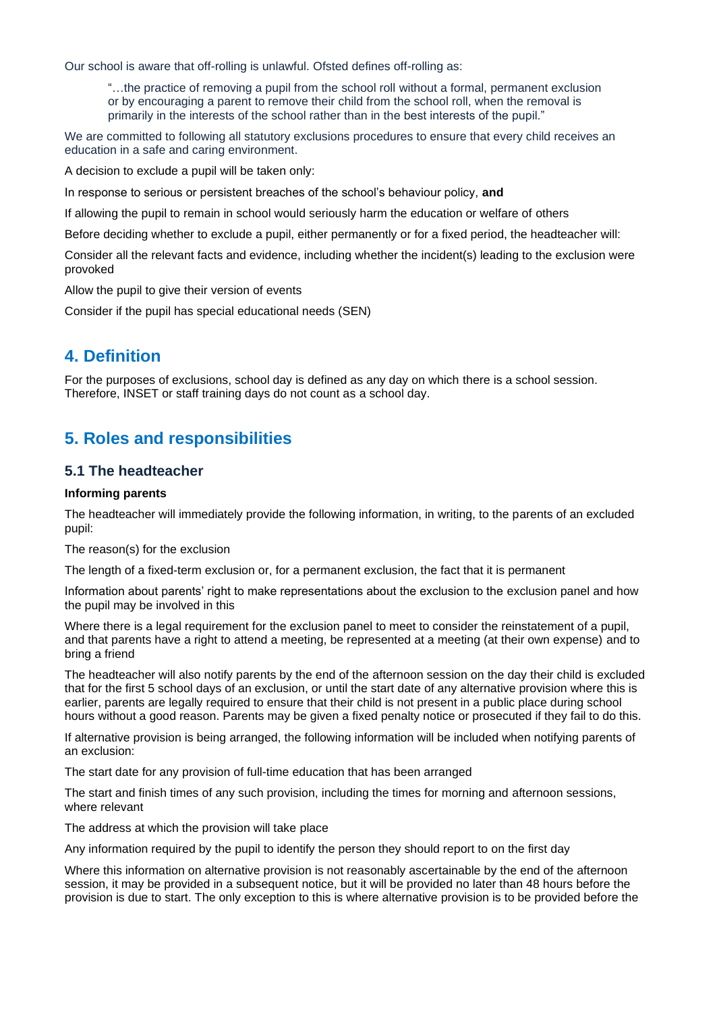Our school is aware that off-rolling is unlawful. Ofsted defines off-rolling as:

"…the practice of removing a pupil from the school roll without a formal, permanent exclusion or by encouraging a parent to remove their child from the school roll, when the removal is primarily in the interests of the school rather than in the best interests of the pupil."

We are committed to following all statutory exclusions procedures to ensure that every child receives an education in a safe and caring environment.

A decision to exclude a pupil will be taken only:

In response to serious or persistent breaches of the school's behaviour policy, **and**

If allowing the pupil to remain in school would seriously harm the education or welfare of others

Before deciding whether to exclude a pupil, either permanently or for a fixed period, the headteacher will:

Consider all the relevant facts and evidence, including whether the incident(s) leading to the exclusion were provoked

Allow the pupil to give their version of events

Consider if the pupil has special educational needs (SEN)

## **4. Definition**

For the purposes of exclusions, school day is defined as any day on which there is a school session. Therefore, INSET or staff training days do not count as a school day.

## **5. Roles and responsibilities**

#### **5.1 The headteacher**

#### **Informing parents**

The headteacher will immediately provide the following information, in writing, to the parents of an excluded pupil:

The reason(s) for the exclusion

The length of a fixed-term exclusion or, for a permanent exclusion, the fact that it is permanent

Information about parents' right to make representations about the exclusion to the exclusion panel and how the pupil may be involved in this

Where there is a legal requirement for the exclusion panel to meet to consider the reinstatement of a pupil, and that parents have a right to attend a meeting, be represented at a meeting (at their own expense) and to bring a friend

The headteacher will also notify parents by the end of the afternoon session on the day their child is excluded that for the first 5 school days of an exclusion, or until the start date of any alternative provision where this is earlier, parents are legally required to ensure that their child is not present in a public place during school hours without a good reason. Parents may be given a fixed penalty notice or prosecuted if they fail to do this.

If alternative provision is being arranged, the following information will be included when notifying parents of an exclusion:

The start date for any provision of full-time education that has been arranged

The start and finish times of any such provision, including the times for morning and afternoon sessions, where relevant

The address at which the provision will take place

Any information required by the pupil to identify the person they should report to on the first day

Where this information on alternative provision is not reasonably ascertainable by the end of the afternoon session, it may be provided in a subsequent notice, but it will be provided no later than 48 hours before the provision is due to start. The only exception to this is where alternative provision is to be provided before the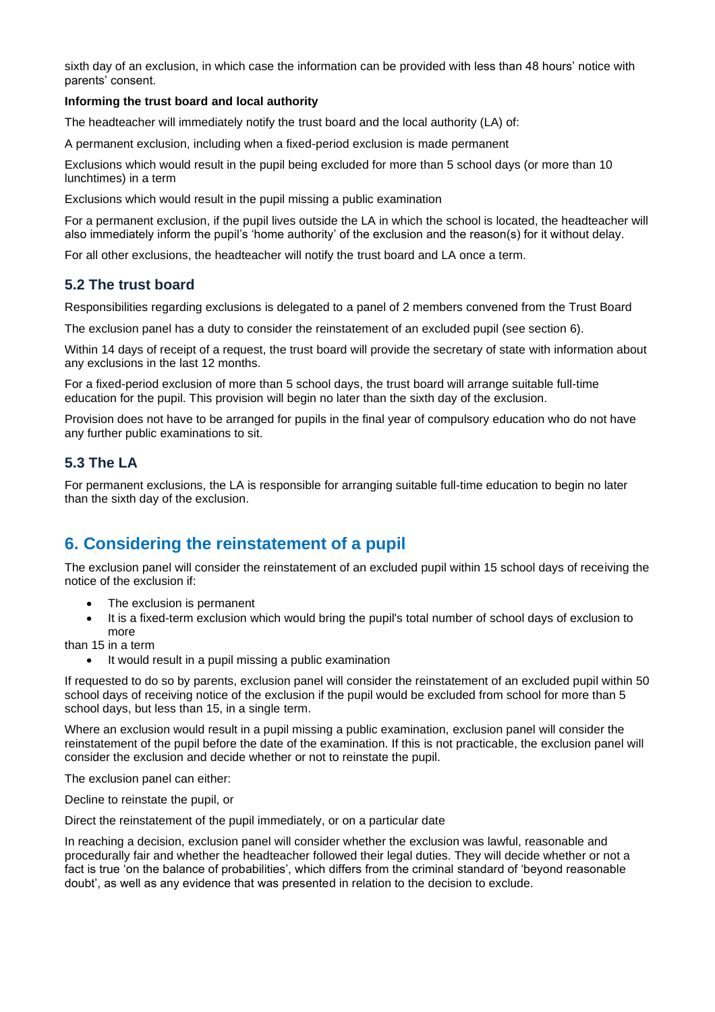sixth day of an exclusion, in which case the information can be provided with less than 48 hours' notice with parents' consent.

#### **Informing the trust board and local authority**

The headteacher will immediately notify the trust board and the local authority (LA) of:

A permanent exclusion, including when a fixed-period exclusion is made permanent

Exclusions which would result in the pupil being excluded for more than 5 school days (or more than 10 lunchtimes) in a term

Exclusions which would result in the pupil missing a public examination

For a permanent exclusion, if the pupil lives outside the LA in which the school is located, the headteacher will also immediately inform the pupil's 'home authority' of the exclusion and the reason(s) for it without delay.

For all other exclusions, the headteacher will notify the trust board and LA once a term.

#### **5.2 The trust board**

Responsibilities regarding exclusions is delegated to a panel of 2 members convened from the Trust Board

The exclusion panel has a duty to consider the reinstatement of an excluded pupil (see section 6).

Within 14 days of receipt of a request, the trust board will provide the secretary of state with information about any exclusions in the last 12 months.

For a fixed-period exclusion of more than 5 school days, the trust board will arrange suitable full-time education for the pupil. This provision will begin no later than the sixth day of the exclusion.

Provision does not have to be arranged for pupils in the final year of compulsory education who do not have any further public examinations to sit.

### **5.3 The LA**

For permanent exclusions, the LA is responsible for arranging suitable full-time education to begin no later than the sixth day of the exclusion.

## **6. Considering the reinstatement of a pupil**

The exclusion panel will consider the reinstatement of an excluded pupil within 15 school days of receiving the notice of the exclusion if:

- The exclusion is permanent
- It is a fixed-term exclusion which would bring the pupil's total number of school days of exclusion to more

than 15 in a term

• It would result in a pupil missing a public examination

If requested to do so by parents, exclusion panel will consider the reinstatement of an excluded pupil within 50 school days of receiving notice of the exclusion if the pupil would be excluded from school for more than 5 school days, but less than 15, in a single term.

Where an exclusion would result in a pupil missing a public examination, exclusion panel will consider the reinstatement of the pupil before the date of the examination. If this is not practicable, the exclusion panel will consider the exclusion and decide whether or not to reinstate the pupil.

The exclusion panel can either:

Decline to reinstate the pupil, or

Direct the reinstatement of the pupil immediately, or on a particular date

In reaching a decision, exclusion panel will consider whether the exclusion was lawful, reasonable and procedurally fair and whether the headteacher followed their legal duties. They will decide whether or not a fact is true 'on the balance of probabilities', which differs from the criminal standard of 'beyond reasonable doubt', as well as any evidence that was presented in relation to the decision to exclude.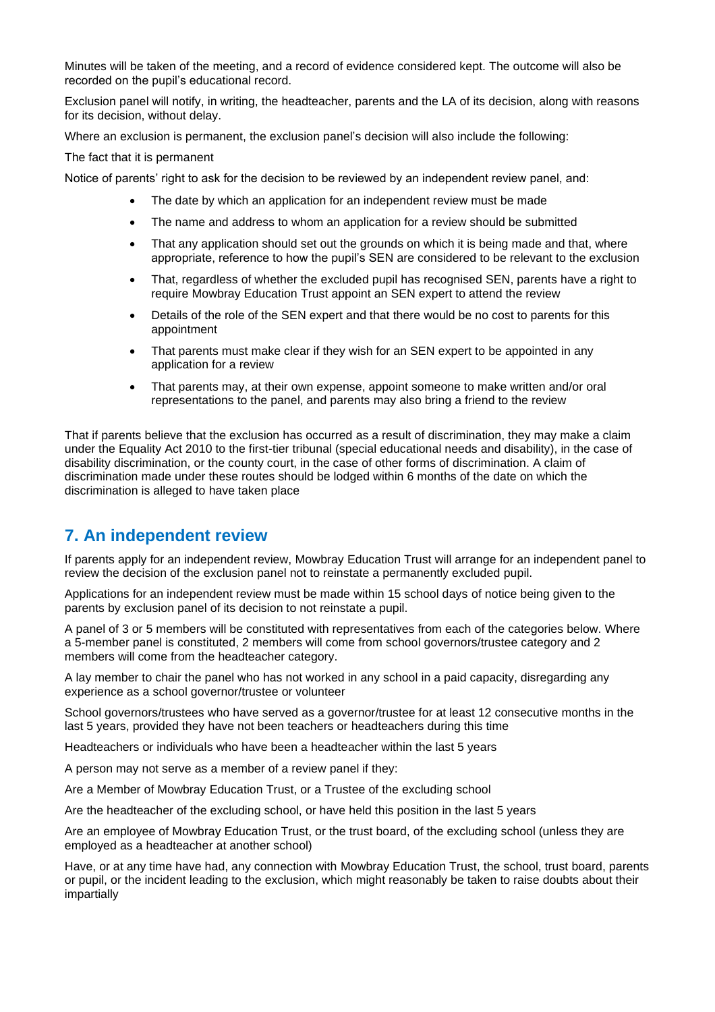Minutes will be taken of the meeting, and a record of evidence considered kept. The outcome will also be recorded on the pupil's educational record.

Exclusion panel will notify, in writing, the headteacher, parents and the LA of its decision, along with reasons for its decision, without delay.

Where an exclusion is permanent, the exclusion panel's decision will also include the following:

The fact that it is permanent

Notice of parents' right to ask for the decision to be reviewed by an independent review panel, and:

- The date by which an application for an independent review must be made
- The name and address to whom an application for a review should be submitted
- That any application should set out the grounds on which it is being made and that, where appropriate, reference to how the pupil's SEN are considered to be relevant to the exclusion
- That, regardless of whether the excluded pupil has recognised SEN, parents have a right to require Mowbray Education Trust appoint an SEN expert to attend the review
- Details of the role of the SEN expert and that there would be no cost to parents for this appointment
- That parents must make clear if they wish for an SEN expert to be appointed in any application for a review
- That parents may, at their own expense, appoint someone to make written and/or oral representations to the panel, and parents may also bring a friend to the review

That if parents believe that the exclusion has occurred as a result of discrimination, they may make a claim under the Equality Act 2010 to the first-tier tribunal (special educational needs and disability), in the case of disability discrimination, or the county court, in the case of other forms of discrimination. A claim of discrimination made under these routes should be lodged within 6 months of the date on which the discrimination is alleged to have taken place

## **7. An independent review**

If parents apply for an independent review, Mowbray Education Trust will arrange for an independent panel to review the decision of the exclusion panel not to reinstate a permanently excluded pupil.

Applications for an independent review must be made within 15 school days of notice being given to the parents by exclusion panel of its decision to not reinstate a pupil.

A panel of 3 or 5 members will be constituted with representatives from each of the categories below. Where a 5-member panel is constituted, 2 members will come from school governors/trustee category and 2 members will come from the headteacher category.

A lay member to chair the panel who has not worked in any school in a paid capacity, disregarding any experience as a school governor/trustee or volunteer

School governors/trustees who have served as a governor/trustee for at least 12 consecutive months in the last 5 years, provided they have not been teachers or headteachers during this time

Headteachers or individuals who have been a headteacher within the last 5 years

A person may not serve as a member of a review panel if they:

Are a Member of Mowbray Education Trust, or a Trustee of the excluding school

Are the headteacher of the excluding school, or have held this position in the last 5 years

Are an employee of Mowbray Education Trust, or the trust board, of the excluding school (unless they are employed as a headteacher at another school)

Have, or at any time have had, any connection with Mowbray Education Trust, the school, trust board, parents or pupil, or the incident leading to the exclusion, which might reasonably be taken to raise doubts about their impartially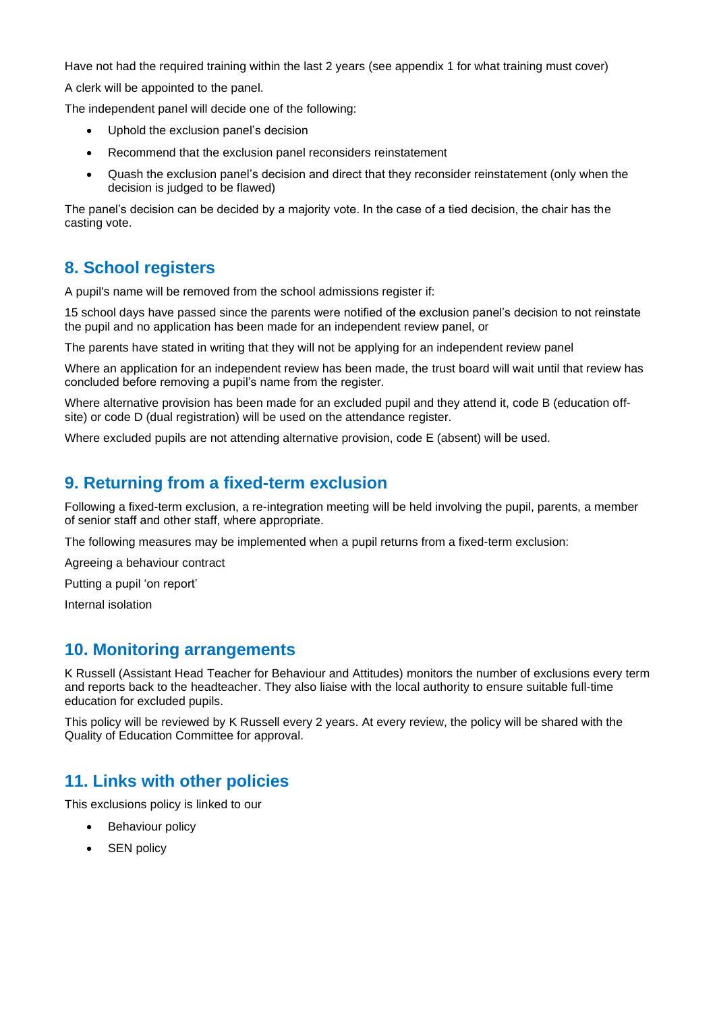Have not had the required training within the last 2 years (see appendix 1 for what training must cover)

A clerk will be appointed to the panel.

The independent panel will decide one of the following:

- Uphold the exclusion panel's decision
- Recommend that the exclusion panel reconsiders reinstatement
- Quash the exclusion panel's decision and direct that they reconsider reinstatement (only when the decision is judged to be flawed)

The panel's decision can be decided by a majority vote. In the case of a tied decision, the chair has the casting vote.

## **8. School registers**

A pupil's name will be removed from the school admissions register if:

15 school days have passed since the parents were notified of the exclusion panel's decision to not reinstate the pupil and no application has been made for an independent review panel, or

The parents have stated in writing that they will not be applying for an independent review panel

Where an application for an independent review has been made, the trust board will wait until that review has concluded before removing a pupil's name from the register.

Where alternative provision has been made for an excluded pupil and they attend it, code B (education offsite) or code D (dual registration) will be used on the attendance register.

Where excluded pupils are not attending alternative provision, code E (absent) will be used.

## **9. Returning from a fixed-term exclusion**

Following a fixed-term exclusion, a re-integration meeting will be held involving the pupil, parents, a member of senior staff and other staff, where appropriate.

The following measures may be implemented when a pupil returns from a fixed-term exclusion:

Agreeing a behaviour contract

Putting a pupil 'on report'

Internal isolation

## **10. Monitoring arrangements**

K Russell (Assistant Head Teacher for Behaviour and Attitudes) monitors the number of exclusions every term and reports back to the headteacher. They also liaise with the local authority to ensure suitable full-time education for excluded pupils.

This policy will be reviewed by K Russell every 2 years. At every review, the policy will be shared with the Quality of Education Committee for approval.

## **11. Links with other policies**

This exclusions policy is linked to our

- **Behaviour policy**
- SEN policy